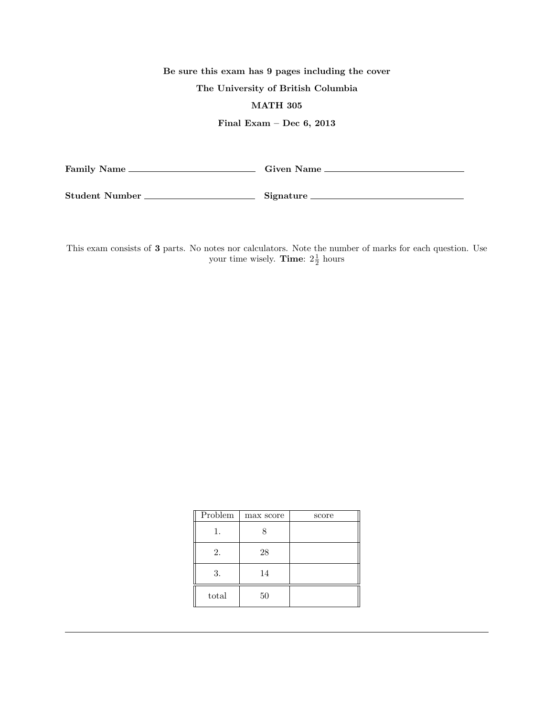## Be sure this exam has 9 pages including the cover

## The University of British Columbia

## MATH 305

## Final Exam – Dec 6, 2013

| <b>Family Name</b> | <b>Given Name</b> |
|--------------------|-------------------|
|                    |                   |

Student Number Signature

This exam consists of 3 parts. No notes nor calculators. Note the number of marks for each question. Use your time wisely. **Time**:  $2\frac{1}{2}$  hours

| Problem | max score | score |
|---------|-----------|-------|
| 1.      | 8         |       |
| 2.      | 28        |       |
| 3.      | 14        |       |
| total   | 50        |       |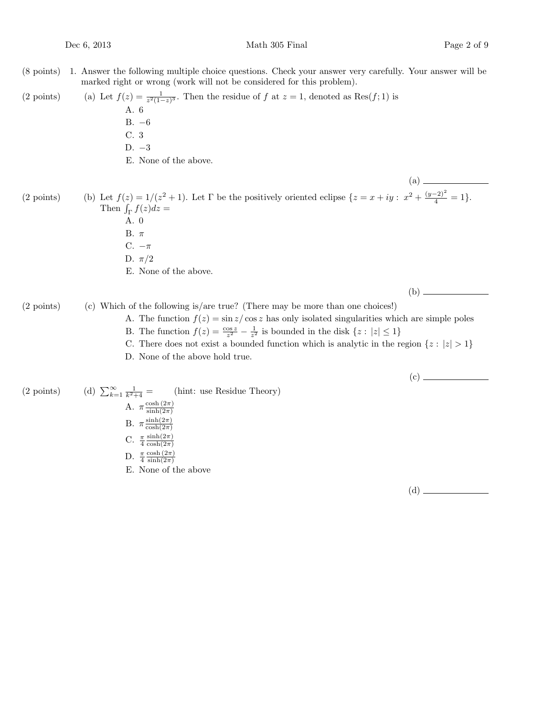(8 points) 1. Answer the following multiple choice questions. Check your answer very carefully. Your answer will be marked right or wrong (work will not be considered for this problem).

(2 points) (a) Let  $f(z) = \frac{1}{z^2(1-z)^3}$ . Then the residue of f at  $z = 1$ , denoted as Res(f; 1) is A. 6 B. −6 C. 3 D. −3

E. None of the above.

(2 points) (b) Let  $f(z) = 1/(z^2 + 1)$ . Let  $\Gamma$  be the positively oriented eclipse  $\{z = x + iy : x^2 + \frac{(y-2)^2}{4} = 1\}$ . Then  $\int_{\Gamma} f(z) dz =$ A. 0

- B. π
- C.  $-\pi$
- D.  $\pi/2$
- E. None of the above.

(b)

(a)

 $(2 \text{ points})$  (c) Which of the following is/are true? (There may be more than one choices!)

- A. The function  $f(z) = \frac{\sin z}{\cos z}$  has only isolated singularities which are simple poles
	- B. The function  $f(z) = \frac{\cos z}{z^2} \frac{1}{z^2}$  is bounded in the disk  $\{z : |z| \le 1\}$
- C. There does not exist a bounded function which is analytic in the region  $\{z : |z| > 1\}$
- D. None of the above hold true.

(c)

(2 points) (d)  $\sum_{k=1}^{\infty} \frac{1}{k^2}$ (hint: use Residue Theory) A.  $\pi \frac{\cosh(2\pi)}{\sinh(2\pi)}$  $\sinh(2\pi)$ B.  $\pi \frac{\sinh(2\pi)}{\cosh(2\pi)}$  $cosh(2\pi)$ C.  $\frac{\pi}{4}$  $\sinh(2\pi)$  $\cosh(2\pi)$ D.  $\frac{\pi}{4}$  $\cosh(2\pi)$  $\sinh(2\pi)$ E. None of the above

(d)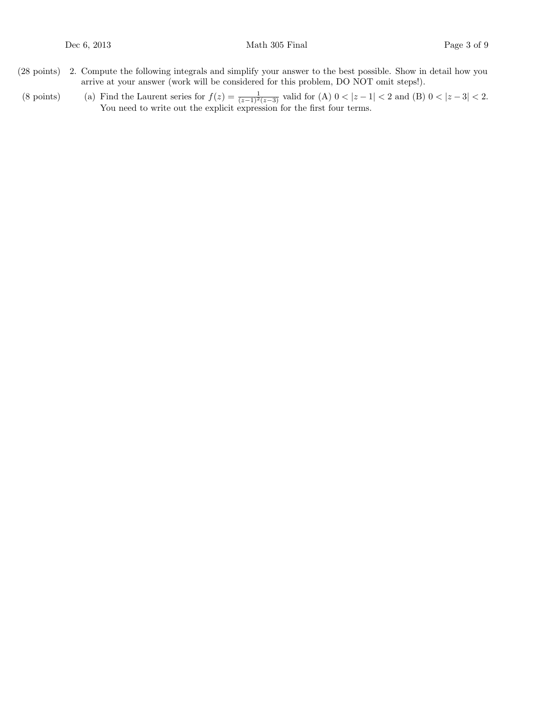- (28 points) 2. Compute the following integrals and simplify your answer to the best possible. Show in detail how you arrive at your answer (work will be considered for this problem, DO NOT omit steps!).
- (8 points) (a) Find the Laurent series for  $f(z) = \frac{1}{(z-1)^2(z-3)}$  valid for (A)  $0 < |z-1| < 2$  and (B)  $0 < |z-3| < 2$ . You need to write out the explicit expression for the first four terms.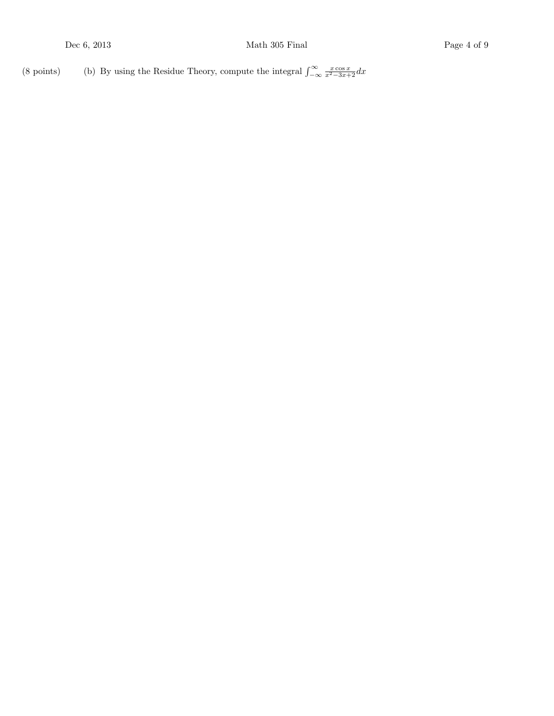(8 points) (b) By using the Residue Theory, compute the integral  $\int_{-\infty}^{\infty} \frac{x \cos x}{x^2-3x+2} dx$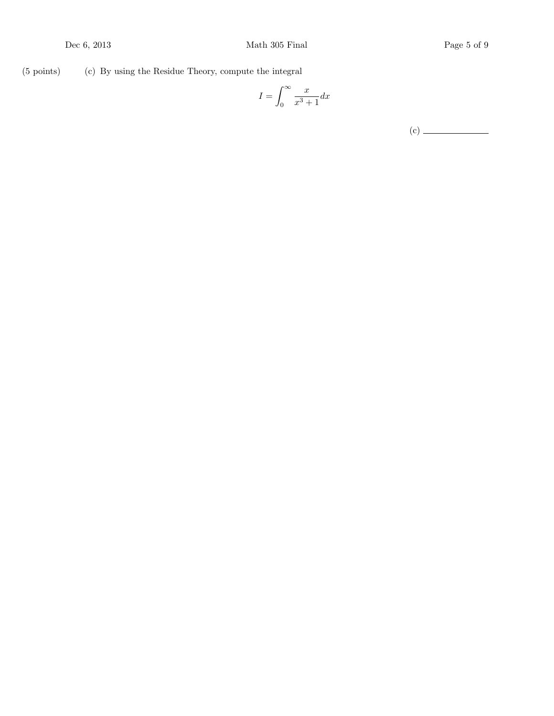(5 points) (c) By using the Residue Theory, compute the integral

$$
I=\int_0^\infty \frac{x}{x^3+1}dx
$$

(c)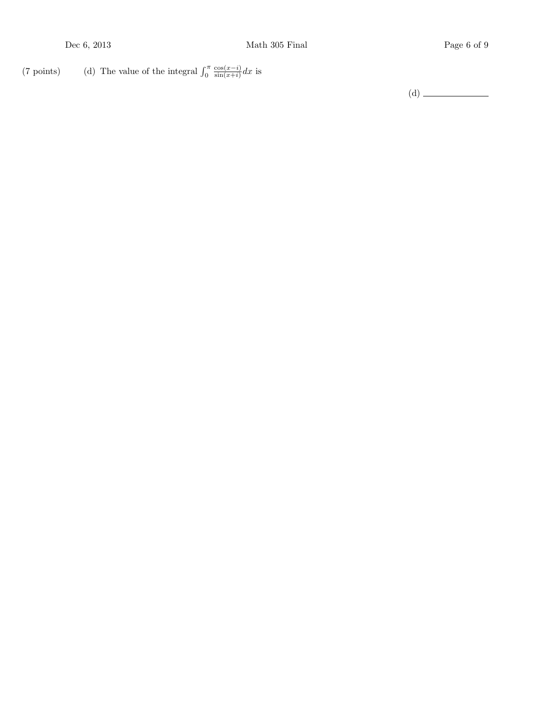(7 points) (d) The value of the integral  $\int_0^{\pi}$  $cos(x-i)$  $\frac{\cos(x-i)}{\sin(x+i)}dx$  is

 $(d) \begin{tabular}{c} \hline \rule[1mm]{1mm}{1.2mm} \multicolumn{3}{c}{} & \multicolumn{3}{c}{} \multicolumn{3}{c}{} \multicolumn{3}{c}{} \multicolumn{3}{c}{} \multicolumn{3}{c}{} \multicolumn{3}{c}{} \multicolumn{3}{c}{} \multicolumn{3}{c}{} \multicolumn{3}{c}{} \multicolumn{3}{c}{} \multicolumn{3}{c}{} \multicolumn{3}{c}{} \multicolumn{3}{c}{} \multicolumn{3}{c}{} \multicolumn{3}{c}{} \multicolumn{3}{c}{} \multicolumn{3}{c}{} \multicolumn{3}{c}{} \mult$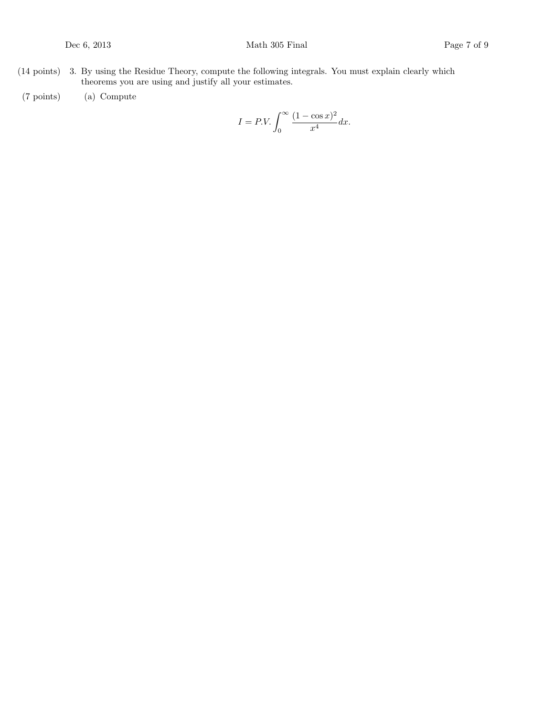- (14 points) 3. By using the Residue Theory, compute the following integrals. You must explain clearly which theorems you are using and justify all your estimates.
- (7 points) Compute (a)

$$
I = P.V. \int_0^\infty \frac{(1 - \cos x)^2}{x^4} dx.
$$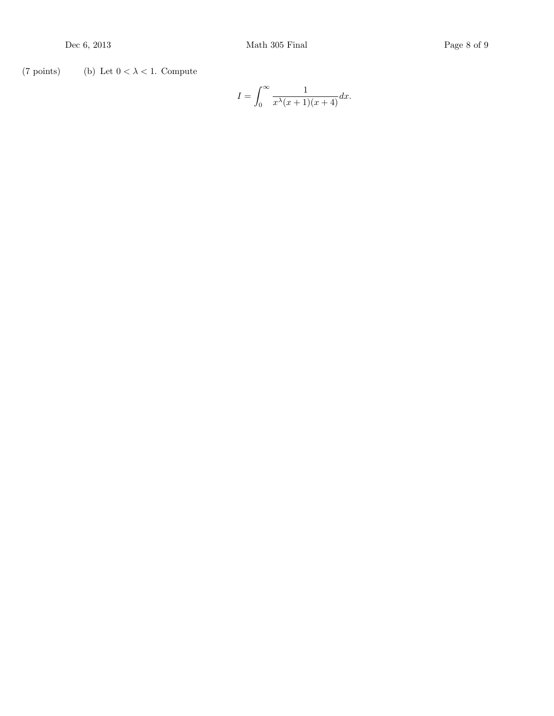(7 points) (b) Let  $0 < \lambda < 1$ . Compute

$$
I = \int_0^\infty \frac{1}{x^{\lambda}(x+1)(x+4)} dx.
$$